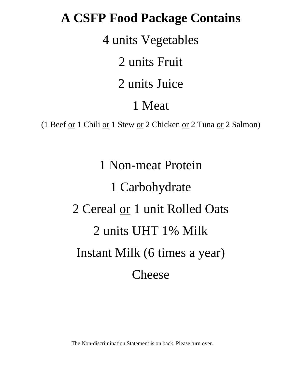## **A CSFP Food Package Contains**

4 units Vegetables

2 units Fruit

2 units Juice

## 1 Meat

(1 Beef or 1 Chili or 1 Stew or 2 Chicken or 2 Tuna or 2 Salmon)

1 Non-meat Protein 1 Carbohydrate 2 Cereal or 1 unit Rolled Oats 2 units UHT 1% Milk Instant Milk (6 times a year) Cheese

The Non-discrimination Statement is on back. Please turn over.